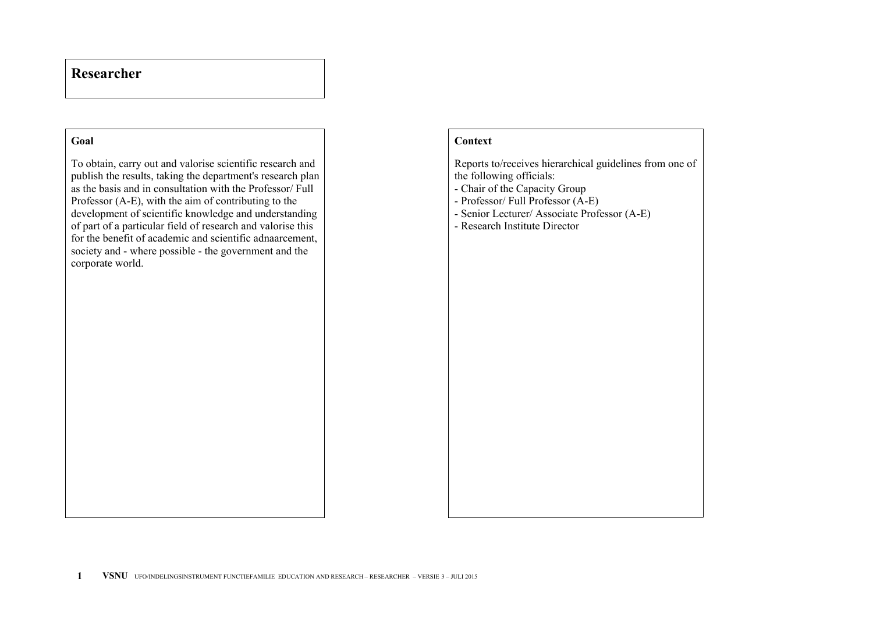## **Researcher**

## **Goal**

To obtain, carry out and valorise scientific research and publish the results, taking the department's research plan as the basis and in consultation with the Professor/ Full Professor (A-E), with the aim of contributing to the development of scientific knowledge and understanding of part of a particular field of research and valorise this for the benefit of academic and scientific adnaarcement, society and - where possible - the government and the corporate world.

## **Context**

Reports to/receives hierarchical guidelines from one of the following officials: - Chair of the Capacity Group - Professor/ Full Professor (A-E) - Senior Lecturer/ Associate Professor (A-E) - Research Institute Director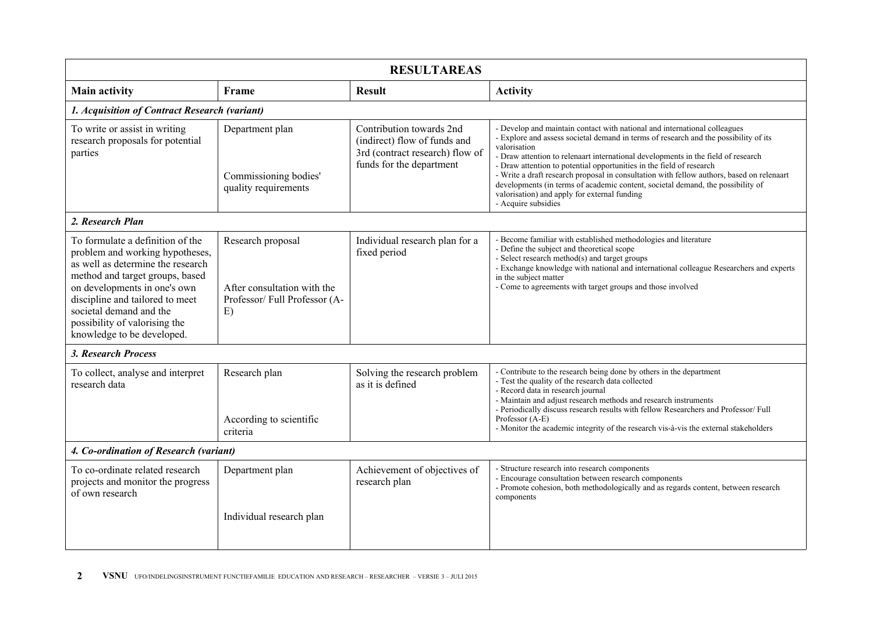| <b>RESULTAREAS</b>                                                                     |                                                                                                                         |                                                                                                                                                                                                                                                                                                                                                                                                                                                                                                                                                                                                       |  |  |  |  |  |
|----------------------------------------------------------------------------------------|-------------------------------------------------------------------------------------------------------------------------|-------------------------------------------------------------------------------------------------------------------------------------------------------------------------------------------------------------------------------------------------------------------------------------------------------------------------------------------------------------------------------------------------------------------------------------------------------------------------------------------------------------------------------------------------------------------------------------------------------|--|--|--|--|--|
| Frame                                                                                  | <b>Result</b>                                                                                                           | <b>Activity</b>                                                                                                                                                                                                                                                                                                                                                                                                                                                                                                                                                                                       |  |  |  |  |  |
| 1. Acquisition of Contract Research (variant)                                          |                                                                                                                         |                                                                                                                                                                                                                                                                                                                                                                                                                                                                                                                                                                                                       |  |  |  |  |  |
| Department plan<br>Commissioning bodies'<br>quality requirements                       | Contribution towards 2nd<br>(indirect) flow of funds and<br>3rd (contract research) flow of<br>funds for the department | - Develop and maintain contact with national and international colleagues<br>- Explore and assess societal demand in terms of research and the possibility of its<br>valorisation<br>- Draw attention to relenaart international developments in the field of research<br>- Draw attention to potential opportunities in the field of research<br>- Write a draft research proposal in consultation with fellow authors, based on relenaart<br>developments (in terms of academic content, societal demand, the possibility of<br>valorisation) and apply for external funding<br>- Acquire subsidies |  |  |  |  |  |
|                                                                                        |                                                                                                                         |                                                                                                                                                                                                                                                                                                                                                                                                                                                                                                                                                                                                       |  |  |  |  |  |
| Research proposal<br>After consultation with the<br>Professor/Full Professor (A-<br>E) | Individual research plan for a<br>fixed period                                                                          | - Become familiar with established methodologies and literature<br>- Define the subject and theoretical scope<br>- Select research method(s) and target groups<br>- Exchange knowledge with national and international colleague Researchers and experts<br>in the subject matter<br>- Come to agreements with target groups and those involved                                                                                                                                                                                                                                                       |  |  |  |  |  |
|                                                                                        |                                                                                                                         |                                                                                                                                                                                                                                                                                                                                                                                                                                                                                                                                                                                                       |  |  |  |  |  |
| Research plan<br>According to scientific<br>criteria                                   | Solving the research problem<br>as it is defined                                                                        | - Contribute to the research being done by others in the department<br>- Test the quality of the research data collected<br>- Record data in research journal<br>- Maintain and adjust research methods and research instruments<br>- Periodically discuss research results with fellow Researchers and Professor/Full<br>Professor (A-E)<br>- Monitor the academic integrity of the research vis-à-vis the external stakeholders                                                                                                                                                                     |  |  |  |  |  |
| 4. Co-ordination of Research (variant)                                                 |                                                                                                                         |                                                                                                                                                                                                                                                                                                                                                                                                                                                                                                                                                                                                       |  |  |  |  |  |
| Department plan<br>Individual research plan                                            | Achievement of objectives of<br>research plan                                                                           | - Structure research into research components<br>- Encourage consultation between research components<br>- Promote cohesion, both methodologically and as regards content, between research<br>components                                                                                                                                                                                                                                                                                                                                                                                             |  |  |  |  |  |
|                                                                                        |                                                                                                                         |                                                                                                                                                                                                                                                                                                                                                                                                                                                                                                                                                                                                       |  |  |  |  |  |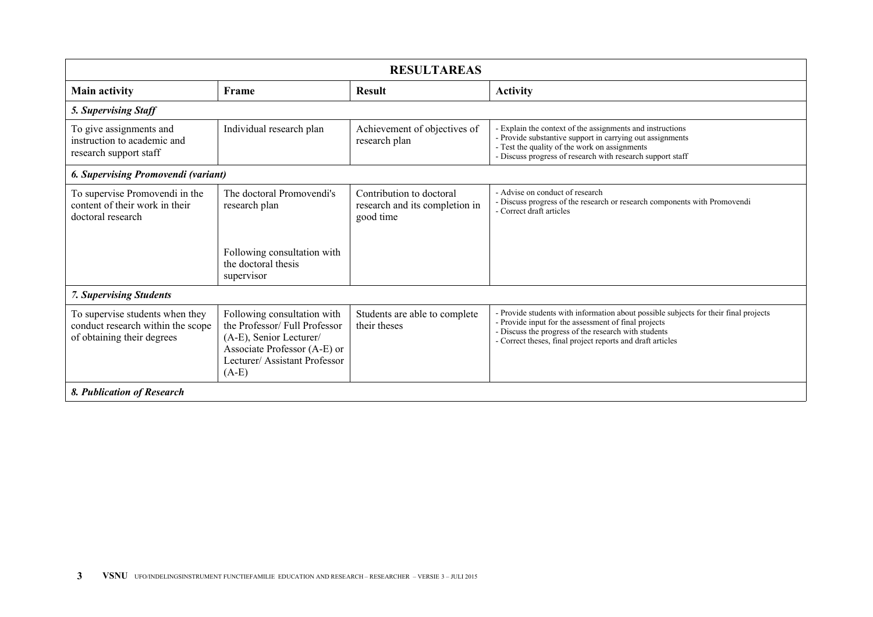| <b>RESULTAREAS</b>                                                                                 |                                                                                                                                                                   |                                                                         |                                                                                                                                                                                                                                                                    |  |  |  |  |
|----------------------------------------------------------------------------------------------------|-------------------------------------------------------------------------------------------------------------------------------------------------------------------|-------------------------------------------------------------------------|--------------------------------------------------------------------------------------------------------------------------------------------------------------------------------------------------------------------------------------------------------------------|--|--|--|--|
| <b>Main activity</b>                                                                               | Frame                                                                                                                                                             | <b>Result</b>                                                           | <b>Activity</b>                                                                                                                                                                                                                                                    |  |  |  |  |
| 5. Supervising Staff                                                                               |                                                                                                                                                                   |                                                                         |                                                                                                                                                                                                                                                                    |  |  |  |  |
| To give assignments and<br>instruction to academic and<br>research support staff                   | Individual research plan                                                                                                                                          | Achievement of objectives of<br>research plan                           | - Explain the context of the assignments and instructions<br>- Provide substantive support in carrying out assignments<br>- Test the quality of the work on assignments<br>- Discuss progress of research with research support staff                              |  |  |  |  |
| 6. Supervising Promovendi (variant)                                                                |                                                                                                                                                                   |                                                                         |                                                                                                                                                                                                                                                                    |  |  |  |  |
| To supervise Promovendi in the<br>content of their work in their<br>doctoral research              | The doctoral Promovendi's<br>research plan                                                                                                                        | Contribution to doctoral<br>research and its completion in<br>good time | - Advise on conduct of research<br>- Discuss progress of the research or research components with Promovendi<br>- Correct draft articles                                                                                                                           |  |  |  |  |
|                                                                                                    | Following consultation with<br>the doctoral thesis<br>supervisor                                                                                                  |                                                                         |                                                                                                                                                                                                                                                                    |  |  |  |  |
| <b>7. Supervising Students</b>                                                                     |                                                                                                                                                                   |                                                                         |                                                                                                                                                                                                                                                                    |  |  |  |  |
| To supervise students when they<br>conduct research within the scope<br>of obtaining their degrees | Following consultation with<br>the Professor/Full Professor<br>(A-E), Senior Lecturer/<br>Associate Professor (A-E) or<br>Lecturer/Assistant Professor<br>$(A-E)$ | Students are able to complete<br>their theses                           | - Provide students with information about possible subjects for their final projects<br>- Provide input for the assessment of final projects<br>- Discuss the progress of the research with students<br>- Correct theses, final project reports and draft articles |  |  |  |  |
| 8. Publication of Research                                                                         |                                                                                                                                                                   |                                                                         |                                                                                                                                                                                                                                                                    |  |  |  |  |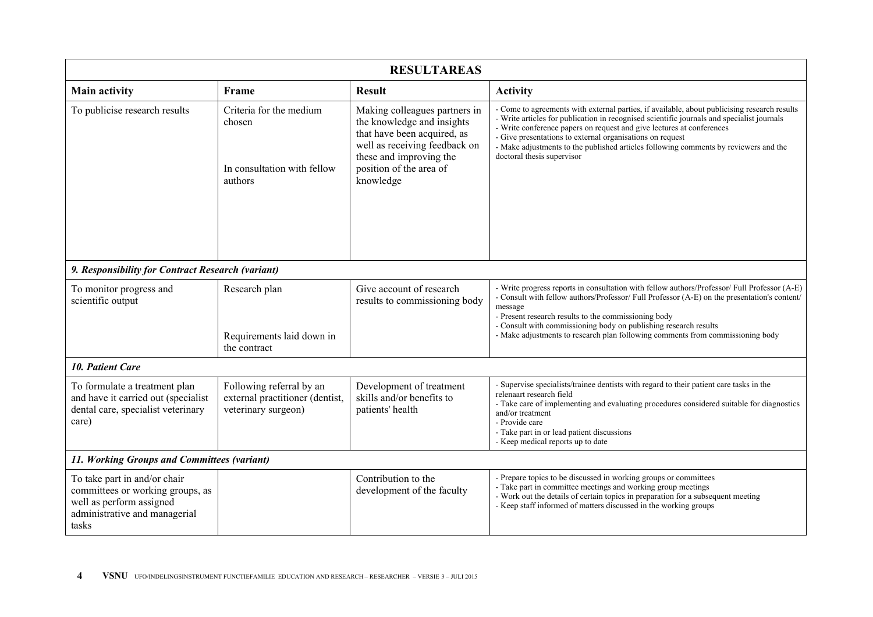| <b>RESULTAREAS</b>                                                                                                                     |                                                                                    |                                                                                                                                                                                                |                                                                                                                                                                                                                                                                                                                                                                                                                                                        |  |  |  |
|----------------------------------------------------------------------------------------------------------------------------------------|------------------------------------------------------------------------------------|------------------------------------------------------------------------------------------------------------------------------------------------------------------------------------------------|--------------------------------------------------------------------------------------------------------------------------------------------------------------------------------------------------------------------------------------------------------------------------------------------------------------------------------------------------------------------------------------------------------------------------------------------------------|--|--|--|
| <b>Main activity</b>                                                                                                                   | Frame                                                                              | <b>Result</b>                                                                                                                                                                                  | <b>Activity</b>                                                                                                                                                                                                                                                                                                                                                                                                                                        |  |  |  |
| To publicise research results                                                                                                          | Criteria for the medium<br>chosen<br>In consultation with fellow<br>authors        | Making colleagues partners in<br>the knowledge and insights<br>that have been acquired, as<br>well as receiving feedback on<br>these and improving the<br>position of the area of<br>knowledge | - Come to agreements with external parties, if available, about publicising research results<br>- Write articles for publication in recognised scientific journals and specialist journals<br>- Write conference papers on request and give lectures at conferences<br>- Give presentations to external organisations on request<br>- Make adjustments to the published articles following comments by reviewers and the<br>doctoral thesis supervisor |  |  |  |
| 9. Responsibility for Contract Research (variant)                                                                                      |                                                                                    |                                                                                                                                                                                                |                                                                                                                                                                                                                                                                                                                                                                                                                                                        |  |  |  |
| To monitor progress and<br>scientific output                                                                                           | Research plan<br>Requirements laid down in<br>the contract                         | Give account of research<br>results to commissioning body                                                                                                                                      | - Write progress reports in consultation with fellow authors/Professor/ Full Professor (A-E)<br>- Consult with fellow authors/Professor/ Full Professor (A-E) on the presentation's content/<br>message<br>- Present research results to the commissioning body<br>- Consult with commissioning body on publishing research results<br>- Make adjustments to research plan following comments from commissioning body                                  |  |  |  |
| <b>10. Patient Care</b>                                                                                                                |                                                                                    |                                                                                                                                                                                                |                                                                                                                                                                                                                                                                                                                                                                                                                                                        |  |  |  |
| To formulate a treatment plan<br>and have it carried out (specialist<br>dental care, specialist veterinary<br>care)                    | Following referral by an<br>external practitioner (dentist,<br>veterinary surgeon) | Development of treatment<br>skills and/or benefits to<br>patients' health                                                                                                                      | - Supervise specialists/trainee dentists with regard to their patient care tasks in the<br>relenaart research field<br>- Take care of implementing and evaluating procedures considered suitable for diagnostics<br>and/or treatment<br>- Provide care<br>- Take part in or lead patient discussions<br>- Keep medical reports up to date                                                                                                              |  |  |  |
| 11. Working Groups and Committees (variant)                                                                                            |                                                                                    |                                                                                                                                                                                                |                                                                                                                                                                                                                                                                                                                                                                                                                                                        |  |  |  |
| To take part in and/or chair<br>committees or working groups, as<br>well as perform assigned<br>administrative and managerial<br>tasks |                                                                                    | Contribution to the<br>development of the faculty                                                                                                                                              | - Prepare topics to be discussed in working groups or committees<br>- Take part in committee meetings and working group meetings<br>- Work out the details of certain topics in preparation for a subsequent meeting<br>- Keep staff informed of matters discussed in the working groups                                                                                                                                                               |  |  |  |